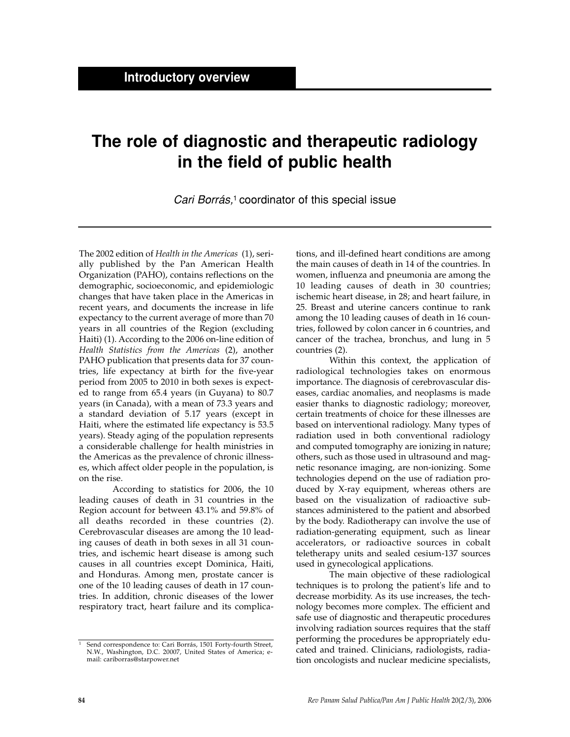## **The role of diagnostic and therapeutic radiology in the field of public health**

Cari Borrás,<sup>1</sup> coordinator of this special issue

The 2002 edition of *Health in the Americas* (1), serially published by the Pan American Health Organization (PAHO), contains reflections on the demographic, socioeconomic, and epidemiologic changes that have taken place in the Americas in recent years, and documents the increase in life expectancy to the current average of more than 70 years in all countries of the Region (excluding Haiti) (1). According to the 2006 on-line edition of *Health Statistics from the Americas* (2), another PAHO publication that presents data for 37 countries, life expectancy at birth for the five-year period from 2005 to 2010 in both sexes is expected to range from 65.4 years (in Guyana) to 80.7 years (in Canada), with a mean of 73.3 years and a standard deviation of 5.17 years (except in Haiti, where the estimated life expectancy is 53.5 years). Steady aging of the population represents a considerable challenge for health ministries in the Americas as the prevalence of chronic illnesses, which affect older people in the population, is on the rise.

According to statistics for 2006, the 10 leading causes of death in 31 countries in the Region account for between 43.1% and 59.8% of all deaths recorded in these countries (2). Cerebrovascular diseases are among the 10 leading causes of death in both sexes in all 31 countries, and ischemic heart disease is among such causes in all countries except Dominica, Haiti, and Honduras. Among men, prostate cancer is one of the 10 leading causes of death in 17 countries. In addition, chronic diseases of the lower respiratory tract, heart failure and its complica-

<sup>1</sup> Send correspondence to: Cari Borrás, 1501 Forty-fourth Street, N.W., Washington, D.C. 20007, United States of America; email: cariborras@starpower.net

tions, and ill-defined heart conditions are among the main causes of death in 14 of the countries. In women, influenza and pneumonia are among the 10 leading causes of death in 30 countries; ischemic heart disease, in 28; and heart failure, in 25. Breast and uterine cancers continue to rank among the 10 leading causes of death in 16 countries, followed by colon cancer in 6 countries, and cancer of the trachea, bronchus, and lung in 5 countries (2).

Within this context, the application of radiological technologies takes on enormous importance. The diagnosis of cerebrovascular diseases, cardiac anomalies, and neoplasms is made easier thanks to diagnostic radiology; moreover, certain treatments of choice for these illnesses are based on interventional radiology. Many types of radiation used in both conventional radiology and computed tomography are ionizing in nature; others, such as those used in ultrasound and magnetic resonance imaging, are non-ionizing. Some technologies depend on the use of radiation produced by X-ray equipment, whereas others are based on the visualization of radioactive substances administered to the patient and absorbed by the body. Radiotherapy can involve the use of radiation-generating equipment, such as linear accelerators, or radioactive sources in cobalt teletherapy units and sealed cesium-137 sources used in gynecological applications.

The main objective of these radiological techniques is to prolong the patient's life and to decrease morbidity. As its use increases, the technology becomes more complex. The efficient and safe use of diagnostic and therapeutic procedures involving radiation sources requires that the staff performing the procedures be appropriately educated and trained. Clinicians, radiologists, radiation oncologists and nuclear medicine specialists,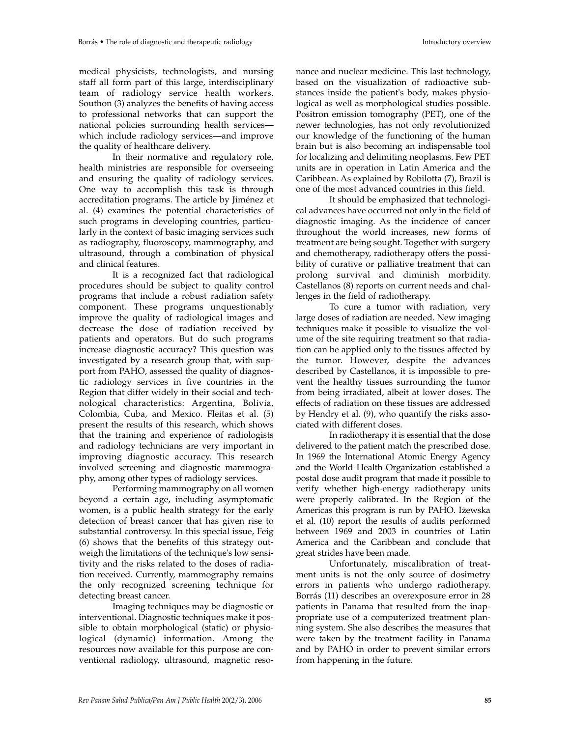medical physicists, technologists, and nursing staff all form part of this large, interdisciplinary team of radiology service health workers. Southon (3) analyzes the benefits of having access to professional networks that can support the national policies surrounding health services which include radiology services—and improve the quality of healthcare delivery.

In their normative and regulatory role, health ministries are responsible for overseeing and ensuring the quality of radiology services. One way to accomplish this task is through accreditation programs. The article by Jiménez et al. (4) examines the potential characteristics of such programs in developing countries, particularly in the context of basic imaging services such as radiography, fluoroscopy, mammography, and ultrasound, through a combination of physical and clinical features.

It is a recognized fact that radiological procedures should be subject to quality control programs that include a robust radiation safety component. These programs unquestionably improve the quality of radiological images and decrease the dose of radiation received by patients and operators. But do such programs increase diagnostic accuracy? This question was investigated by a research group that, with support from PAHO, assessed the quality of diagnostic radiology services in five countries in the Region that differ widely in their social and technological characteristics: Argentina, Bolivia, Colombia, Cuba, and Mexico. Fleitas et al. (5) present the results of this research, which shows that the training and experience of radiologists and radiology technicians are very important in improving diagnostic accuracy. This research involved screening and diagnostic mammography, among other types of radiology services.

Performing mammography on all women beyond a certain age, including asymptomatic women, is a public health strategy for the early detection of breast cancer that has given rise to substantial controversy. In this special issue, Feig (6) shows that the benefits of this strategy outweigh the limitations of the technique's low sensitivity and the risks related to the doses of radiation received. Currently, mammography remains the only recognized screening technique for detecting breast cancer.

Imaging techniques may be diagnostic or interventional. Diagnostic techniques make it possible to obtain morphological (static) or physiological (dynamic) information. Among the resources now available for this purpose are conventional radiology, ultrasound, magnetic resonance and nuclear medicine. This last technology, based on the visualization of radioactive substances inside the patient's body, makes physiological as well as morphological studies possible. Positron emission tomography (PET), one of the newer technologies, has not only revolutionized our knowledge of the functioning of the human brain but is also becoming an indispensable tool for localizing and delimiting neoplasms. Few PET units are in operation in Latin America and the Caribbean. As explained by Robilotta (7), Brazil is one of the most advanced countries in this field.

It should be emphasized that technological advances have occurred not only in the field of diagnostic imaging. As the incidence of cancer throughout the world increases, new forms of treatment are being sought. Together with surgery and chemotherapy, radiotherapy offers the possibility of curative or palliative treatment that can prolong survival and diminish morbidity. Castellanos (8) reports on current needs and challenges in the field of radiotherapy.

To cure a tumor with radiation, very large doses of radiation are needed. New imaging techniques make it possible to visualize the volume of the site requiring treatment so that radiation can be applied only to the tissues affected by the tumor. However, despite the advances described by Castellanos, it is impossible to prevent the healthy tissues surrounding the tumor from being irradiated, albeit at lower doses. The effects of radiation on these tissues are addressed by Hendry et al. (9), who quantify the risks associated with different doses.

In radiotherapy it is essential that the dose delivered to the patient match the prescribed dose. In 1969 the International Atomic Energy Agency and the World Health Organization established a postal dose audit program that made it possible to verify whether high-energy radiotherapy units were properly calibrated. In the Region of the Americas this program is run by PAHO. Iżewska et al. (10) report the results of audits performed between 1969 and 2003 in countries of Latin America and the Caribbean and conclude that great strides have been made.

Unfortunately, miscalibration of treatment units is not the only source of dosimetry errors in patients who undergo radiotherapy. Borrás (11) describes an overexposure error in 28 patients in Panama that resulted from the inappropriate use of a computerized treatment planning system. She also describes the measures that were taken by the treatment facility in Panama and by PAHO in order to prevent similar errors from happening in the future.